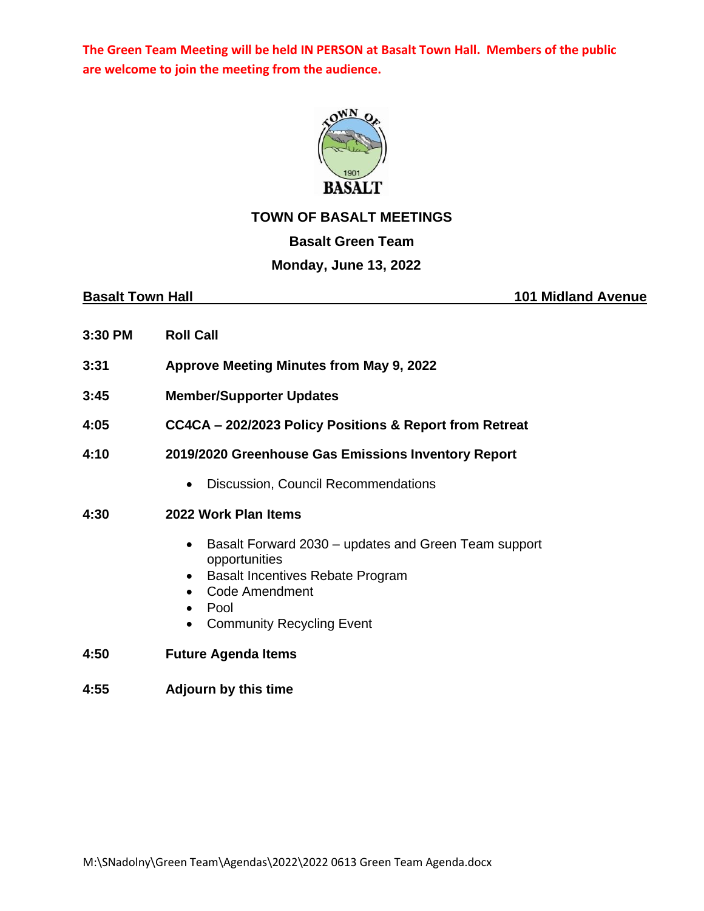**The Green Team Meeting will be held IN PERSON at Basalt Town Hall. Members of the public are welcome to join the meeting from the audience.**



### **TOWN OF BASALT MEETINGS**

# **Basalt Green Team**

# **Monday, June 13, 2022**

**Basalt Town Hall 101 Midland Avenue** 

- **3:30 PM Roll Call**
- **3:31 Approve Meeting Minutes from May 9, 2022**
- **3:45 Member/Supporter Updates**
- **4:05 CC4CA – 202/2023 Policy Positions & Report from Retreat**
- **4:10 2019/2020 Greenhouse Gas Emissions Inventory Report**
	- Discussion, Council Recommendations

### **4:30 2022 Work Plan Items**

- Basalt Forward 2030 updates and Green Team support opportunities
- Basalt Incentives Rebate Program
- Code Amendment
- Pool
- Community Recycling Event
- **4:50 Future Agenda Items**
- **4:55 Adjourn by this time**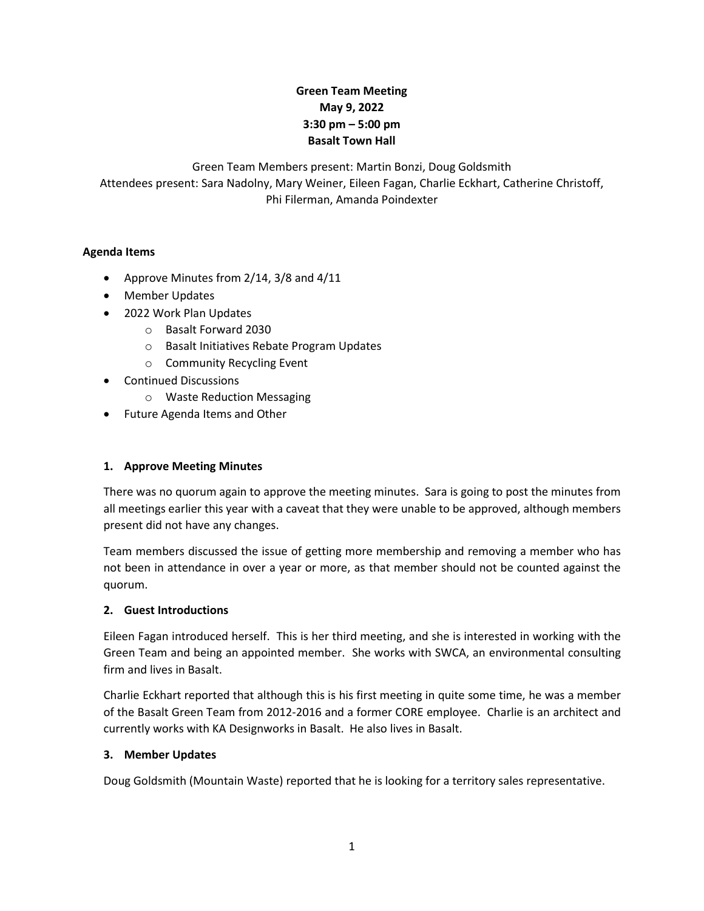# **Green Team Meeting May 9, 2022 3:30 pm – 5:00 pm Basalt Town Hall**

Green Team Members present: Martin Bonzi, Doug Goldsmith Attendees present: Sara Nadolny, Mary Weiner, Eileen Fagan, Charlie Eckhart, Catherine Christoff, Phi Filerman, Amanda Poindexter

#### **Agenda Items**

- Approve Minutes from 2/14, 3/8 and 4/11
- Member Updates
- 2022 Work Plan Updates
	- o Basalt Forward 2030
		- o Basalt Initiatives Rebate Program Updates
		- o Community Recycling Event
- Continued Discussions
	- o Waste Reduction Messaging
- Future Agenda Items and Other

# **1. Approve Meeting Minutes**

There was no quorum again to approve the meeting minutes. Sara is going to post the minutes from all meetings earlier this year with a caveat that they were unable to be approved, although members present did not have any changes.

Team members discussed the issue of getting more membership and removing a member who has not been in attendance in over a year or more, as that member should not be counted against the quorum.

# **2. Guest Introductions**

Eileen Fagan introduced herself. This is her third meeting, and she is interested in working with the Green Team and being an appointed member. She works with SWCA, an environmental consulting firm and lives in Basalt.

Charlie Eckhart reported that although this is his first meeting in quite some time, he was a member of the Basalt Green Team from 2012-2016 and a former CORE employee. Charlie is an architect and currently works with KA Designworks in Basalt. He also lives in Basalt.

#### **3. Member Updates**

Doug Goldsmith (Mountain Waste) reported that he is looking for a territory sales representative.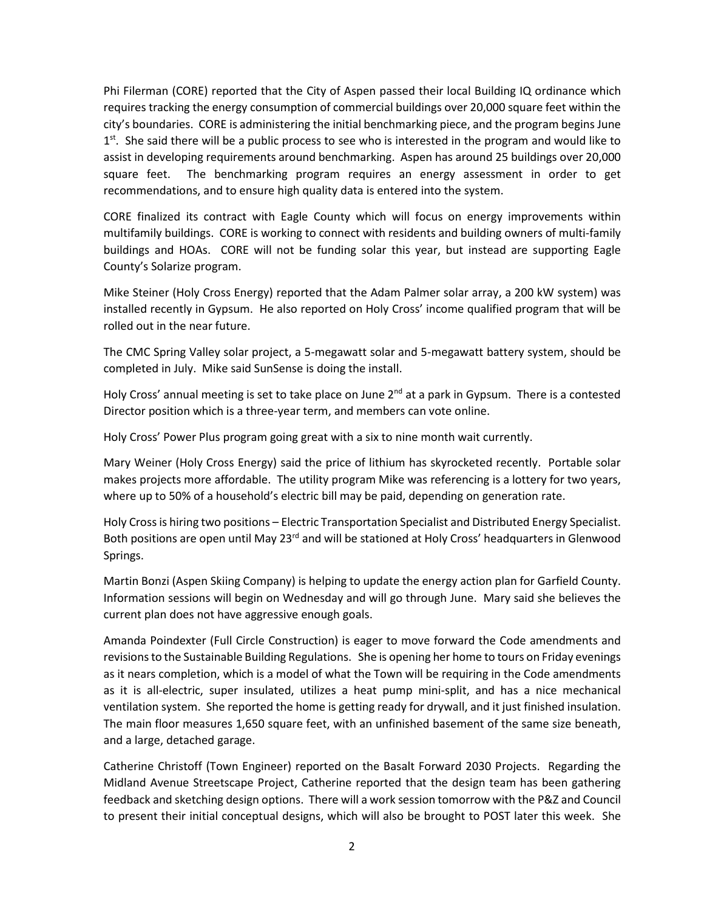Phi Filerman (CORE) reported that the City of Aspen passed their local Building IQ ordinance which requires tracking the energy consumption of commercial buildings over 20,000 square feet within the city's boundaries. CORE is administering the initial benchmarking piece, and the program begins June 1<sup>st</sup>. She said there will be a public process to see who is interested in the program and would like to assist in developing requirements around benchmarking. Aspen has around 25 buildings over 20,000 square feet. The benchmarking program requires an energy assessment in order to get recommendations, and to ensure high quality data is entered into the system.

CORE finalized its contract with Eagle County which will focus on energy improvements within multifamily buildings. CORE is working to connect with residents and building owners of multi-family buildings and HOAs. CORE will not be funding solar this year, but instead are supporting Eagle County's Solarize program.

Mike Steiner (Holy Cross Energy) reported that the Adam Palmer solar array, a 200 kW system) was installed recently in Gypsum. He also reported on Holy Cross' income qualified program that will be rolled out in the near future.

The CMC Spring Valley solar project, a 5-megawatt solar and 5-megawatt battery system, should be completed in July. Mike said SunSense is doing the install.

Holy Cross' annual meeting is set to take place on June  $2<sup>nd</sup>$  at a park in Gypsum. There is a contested Director position which is a three-year term, and members can vote online.

Holy Cross' Power Plus program going great with a six to nine month wait currently.

Mary Weiner (Holy Cross Energy) said the price of lithium has skyrocketed recently. Portable solar makes projects more affordable. The utility program Mike was referencing is a lottery for two years, where up to 50% of a household's electric bill may be paid, depending on generation rate.

Holy Cross is hiring two positions – Electric Transportation Specialist and Distributed Energy Specialist. Both positions are open until May 23<sup>rd</sup> and will be stationed at Holy Cross' headquarters in Glenwood Springs.

Martin Bonzi (Aspen Skiing Company) is helping to update the energy action plan for Garfield County. Information sessions will begin on Wednesday and will go through June. Mary said she believes the current plan does not have aggressive enough goals.

Amanda Poindexter (Full Circle Construction) is eager to move forward the Code amendments and revisions to the Sustainable Building Regulations. She is opening her home to tours on Friday evenings as it nears completion, which is a model of what the Town will be requiring in the Code amendments as it is all-electric, super insulated, utilizes a heat pump mini-split, and has a nice mechanical ventilation system. She reported the home is getting ready for drywall, and it just finished insulation. The main floor measures 1,650 square feet, with an unfinished basement of the same size beneath, and a large, detached garage.

Catherine Christoff (Town Engineer) reported on the Basalt Forward 2030 Projects. Regarding the Midland Avenue Streetscape Project, Catherine reported that the design team has been gathering feedback and sketching design options. There will a work session tomorrow with the P&Z and Council to present their initial conceptual designs, which will also be brought to POST later this week. She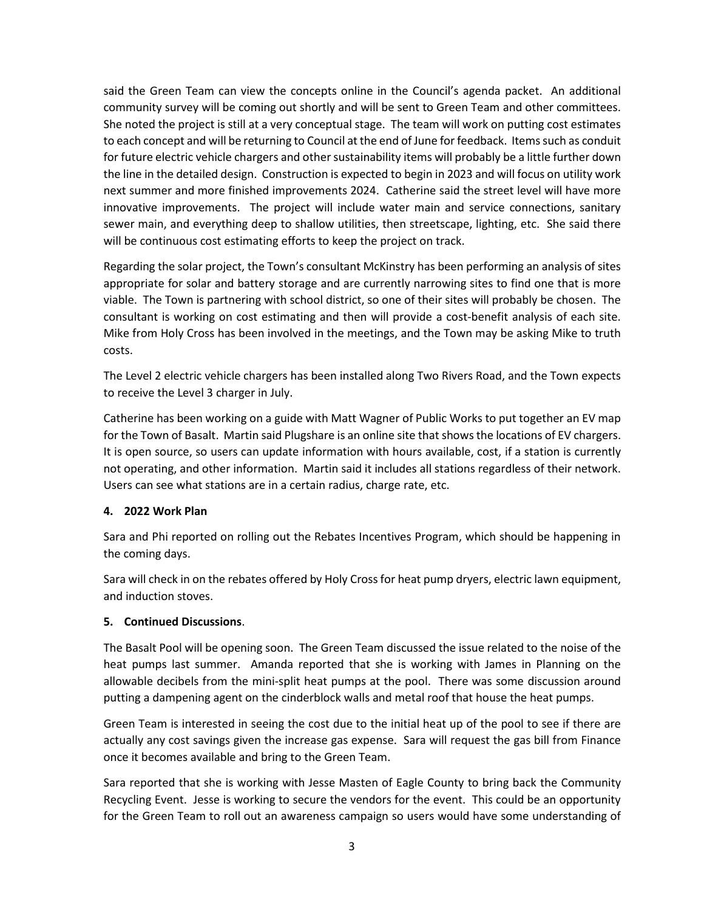said the Green Team can view the concepts online in the Council's agenda packet. An additional community survey will be coming out shortly and will be sent to Green Team and other committees. She noted the project is still at a very conceptual stage. The team will work on putting cost estimates to each concept and will be returning to Council at the end of June for feedback. Items such as conduit for future electric vehicle chargers and other sustainability items will probably be a little further down the line in the detailed design. Construction is expected to begin in 2023 and will focus on utility work next summer and more finished improvements 2024. Catherine said the street level will have more innovative improvements. The project will include water main and service connections, sanitary sewer main, and everything deep to shallow utilities, then streetscape, lighting, etc. She said there will be continuous cost estimating efforts to keep the project on track.

Regarding the solar project, the Town's consultant McKinstry has been performing an analysis of sites appropriate for solar and battery storage and are currently narrowing sites to find one that is more viable. The Town is partnering with school district, so one of their sites will probably be chosen. The consultant is working on cost estimating and then will provide a cost-benefit analysis of each site. Mike from Holy Cross has been involved in the meetings, and the Town may be asking Mike to truth costs.

The Level 2 electric vehicle chargers has been installed along Two Rivers Road, and the Town expects to receive the Level 3 charger in July.

Catherine has been working on a guide with Matt Wagner of Public Works to put together an EV map for the Town of Basalt. Martin said Plugshare is an online site that shows the locations of EV chargers. It is open source, so users can update information with hours available, cost, if a station is currently not operating, and other information. Martin said it includes all stations regardless of their network. Users can see what stations are in a certain radius, charge rate, etc.

# **4. 2022 Work Plan**

Sara and Phi reported on rolling out the Rebates Incentives Program, which should be happening in the coming days.

Sara will check in on the rebates offered by Holy Cross for heat pump dryers, electric lawn equipment, and induction stoves.

#### **5. Continued Discussions**.

The Basalt Pool will be opening soon. The Green Team discussed the issue related to the noise of the heat pumps last summer. Amanda reported that she is working with James in Planning on the allowable decibels from the mini-split heat pumps at the pool. There was some discussion around putting a dampening agent on the cinderblock walls and metal roof that house the heat pumps.

Green Team is interested in seeing the cost due to the initial heat up of the pool to see if there are actually any cost savings given the increase gas expense. Sara will request the gas bill from Finance once it becomes available and bring to the Green Team.

Sara reported that she is working with Jesse Masten of Eagle County to bring back the Community Recycling Event. Jesse is working to secure the vendors for the event. This could be an opportunity for the Green Team to roll out an awareness campaign so users would have some understanding of